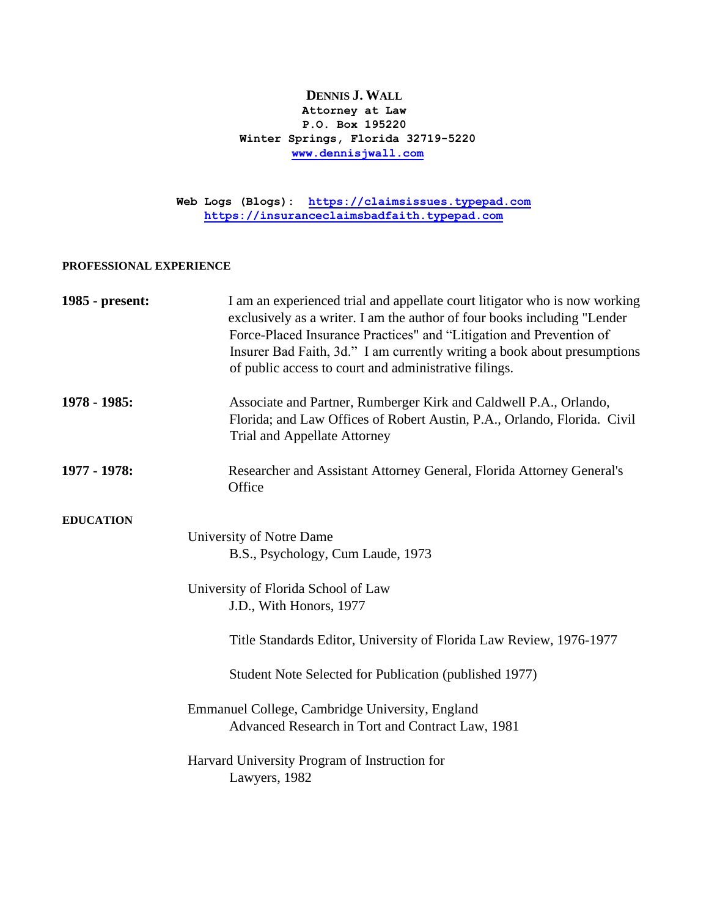### **DENNIS J. WALL Attorney at Law P.O. Box 195220 Winter Springs, Florida 32719-5220 [www.dennisjwall.com](http://www.dennisjwall.com/)**

**Web Logs (Blogs): [https://claimsissues.typepad.com](https://claimsissues.typepad.com/) [https://insuranceclaimsbadfaith.typepad.com](https://insuranceclaimsbadfaith.typepad.com/)**

#### **PROFESSIONAL EXPERIENCE**

| 1985 - present:  | I am an experienced trial and appellate court litigator who is now working<br>exclusively as a writer. I am the author of four books including "Lender<br>Force-Placed Insurance Practices" and "Litigation and Prevention of<br>Insurer Bad Faith, 3d." I am currently writing a book about presumptions<br>of public access to court and administrative filings. |
|------------------|--------------------------------------------------------------------------------------------------------------------------------------------------------------------------------------------------------------------------------------------------------------------------------------------------------------------------------------------------------------------|
| 1978 - 1985:     | Associate and Partner, Rumberger Kirk and Caldwell P.A., Orlando,<br>Florida; and Law Offices of Robert Austin, P.A., Orlando, Florida. Civil<br>Trial and Appellate Attorney                                                                                                                                                                                      |
| 1977 - 1978:     | Researcher and Assistant Attorney General, Florida Attorney General's<br>Office                                                                                                                                                                                                                                                                                    |
| <b>EDUCATION</b> |                                                                                                                                                                                                                                                                                                                                                                    |
|                  | University of Notre Dame                                                                                                                                                                                                                                                                                                                                           |
|                  | B.S., Psychology, Cum Laude, 1973                                                                                                                                                                                                                                                                                                                                  |
|                  | University of Florida School of Law                                                                                                                                                                                                                                                                                                                                |
|                  | J.D., With Honors, 1977                                                                                                                                                                                                                                                                                                                                            |
|                  | Title Standards Editor, University of Florida Law Review, 1976-1977                                                                                                                                                                                                                                                                                                |
|                  | Student Note Selected for Publication (published 1977)                                                                                                                                                                                                                                                                                                             |
|                  | Emmanuel College, Cambridge University, England<br>Advanced Research in Tort and Contract Law, 1981                                                                                                                                                                                                                                                                |
|                  | Harvard University Program of Instruction for<br>Lawyers, 1982                                                                                                                                                                                                                                                                                                     |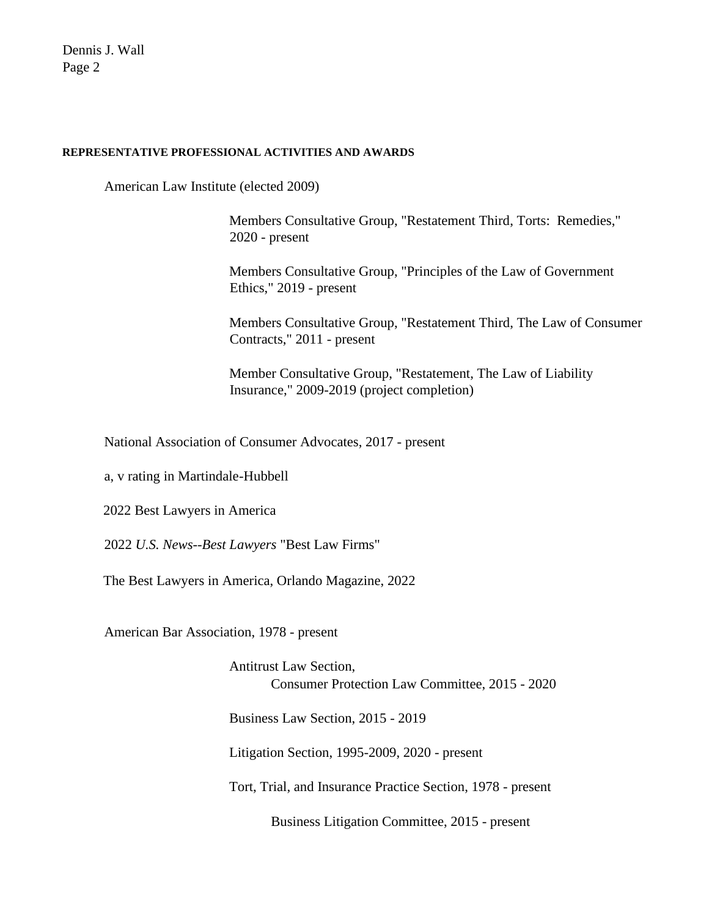#### **REPRESENTATIVE PROFESSIONAL ACTIVITIES AND AWARDS**

American Law Institute (elected 2009)

Members Consultative Group, "Restatement Third, Torts: Remedies," 2020 - present

Members Consultative Group, "Principles of the Law of Government Ethics," 2019 - present

Members Consultative Group, "Restatement Third, The Law of Consumer Contracts," 2011 - present

Member Consultative Group, "Restatement, The Law of Liability Insurance," 2009-2019 (project completion)

National Association of Consumer Advocates, 2017 - present

a, v rating in Martindale-Hubbell

2022 Best Lawyers in America

2022 *U.S. News--Best Lawyers* "Best Law Firms"

The Best Lawyers in America, Orlando Magazine, 2022

American Bar Association, 1978 - present

Antitrust Law Section, Consumer Protection Law Committee, 2015 - 2020

Business Law Section, 2015 - 2019

Litigation Section, 1995-2009, 2020 - present

Tort, Trial, and Insurance Practice Section, 1978 - present

Business Litigation Committee, 2015 - present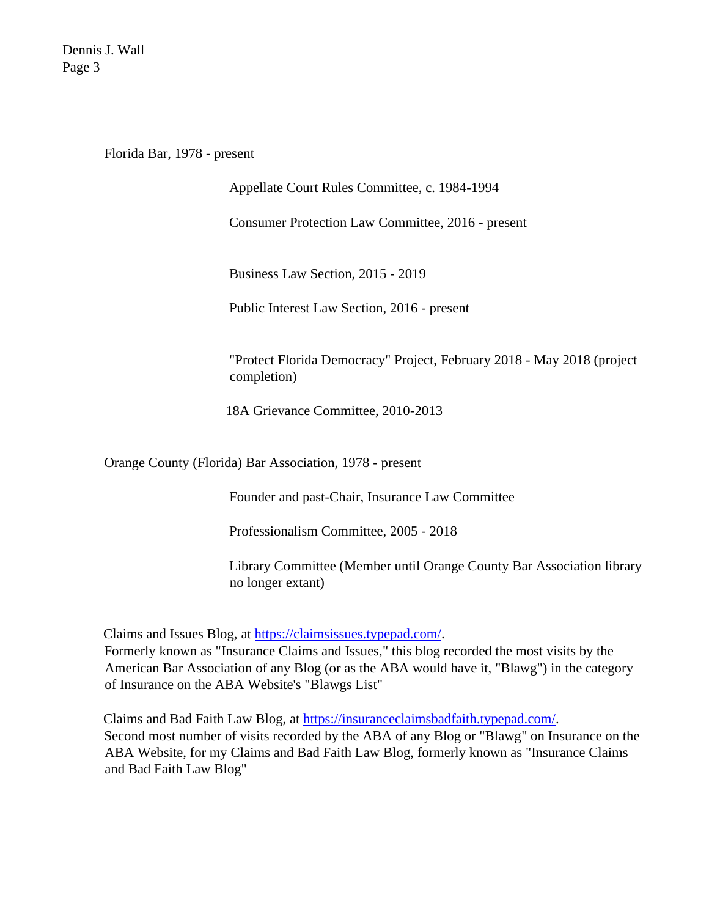Florida Bar, 1978 - present

Appellate Court Rules Committee, c. 1984-1994

Consumer Protection Law Committee, 2016 - present

Business Law Section, 2015 - 2019

Public Interest Law Section, 2016 - present

"Protect Florida Democracy" Project, February 2018 - May 2018 (project completion)

18A Grievance Committee, 2010-2013

Orange County (Florida) Bar Association, 1978 - present

Founder and past-Chair, Insurance Law Committee

Professionalism Committee, 2005 - 2018

Library Committee (Member until Orange County Bar Association library no longer extant)

Claims and Issues Blog, at [https://claimsissues.typepad.com/.](https://claimsissues.typepad.com/)

Formerly known as "Insurance Claims and Issues," this blog recorded the most visits by the American Bar Association of any Blog (or as the ABA would have it, "Blawg") in the category of Insurance on the ABA Website's "Blawgs List"

Claims and Bad Faith Law Blog, at [https://insuranceclaimsbadfaith.typepad.com/.](https://insuranceclaimsbadfaith.typepad.com/) Second most number of visits recorded by the ABA of any Blog or "Blawg" on Insurance on the ABA Website, for my Claims and Bad Faith Law Blog, formerly known as "Insurance Claims and Bad Faith Law Blog"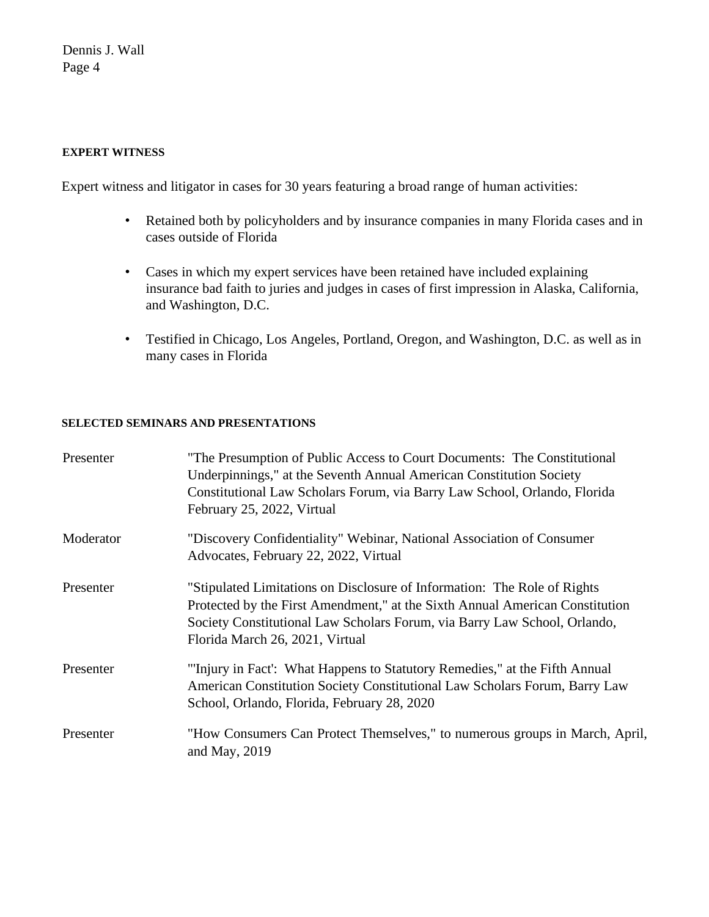## **EXPERT WITNESS**

Expert witness and litigator in cases for 30 years featuring a broad range of human activities:

- Retained both by policyholders and by insurance companies in many Florida cases and in cases outside of Florida
- Cases in which my expert services have been retained have included explaining insurance bad faith to juries and judges in cases of first impression in Alaska, California, and Washington, D.C.
- Testified in Chicago, Los Angeles, Portland, Oregon, and Washington, D.C. as well as in many cases in Florida

### **SELECTED SEMINARS AND PRESENTATIONS**

| Presenter | "The Presumption of Public Access to Court Documents: The Constitutional<br>Underpinnings," at the Seventh Annual American Constitution Society<br>Constitutional Law Scholars Forum, via Barry Law School, Orlando, Florida<br>February 25, 2022, Virtual               |
|-----------|--------------------------------------------------------------------------------------------------------------------------------------------------------------------------------------------------------------------------------------------------------------------------|
| Moderator | "Discovery Confidentiality" Webinar, National Association of Consumer<br>Advocates, February 22, 2022, Virtual                                                                                                                                                           |
| Presenter | "Stipulated Limitations on Disclosure of Information: The Role of Rights<br>Protected by the First Amendment," at the Sixth Annual American Constitution<br>Society Constitutional Law Scholars Forum, via Barry Law School, Orlando,<br>Florida March 26, 2021, Virtual |
| Presenter | "Injury in Fact': What Happens to Statutory Remedies," at the Fifth Annual<br>American Constitution Society Constitutional Law Scholars Forum, Barry Law<br>School, Orlando, Florida, February 28, 2020                                                                  |
| Presenter | "How Consumers Can Protect Themselves," to numerous groups in March, April,<br>and May, $2019$                                                                                                                                                                           |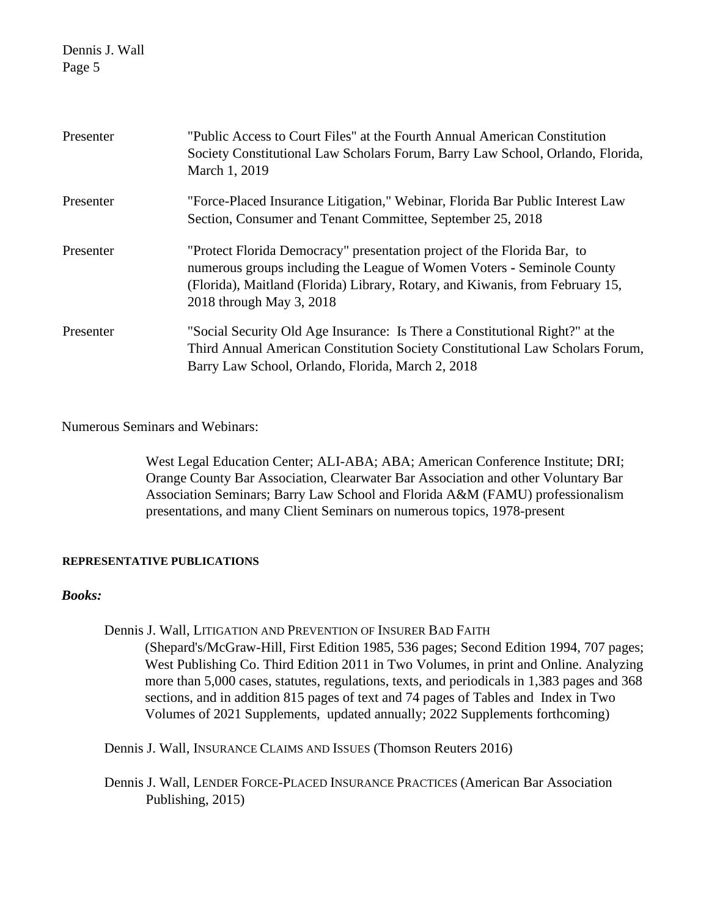| Presenter | "Public Access to Court Files" at the Fourth Annual American Constitution<br>Society Constitutional Law Scholars Forum, Barry Law School, Orlando, Florida,<br>March 1, 2019                                                                                   |
|-----------|----------------------------------------------------------------------------------------------------------------------------------------------------------------------------------------------------------------------------------------------------------------|
| Presenter | "Force-Placed Insurance Litigation," Webinar, Florida Bar Public Interest Law<br>Section, Consumer and Tenant Committee, September 25, 2018                                                                                                                    |
| Presenter | "Protect Florida Democracy" presentation project of the Florida Bar, to<br>numerous groups including the League of Women Voters - Seminole County<br>(Florida), Maitland (Florida) Library, Rotary, and Kiwanis, from February 15,<br>2018 through May 3, 2018 |
| Presenter | "Social Security Old Age Insurance: Is There a Constitutional Right?" at the<br>Third Annual American Constitution Society Constitutional Law Scholars Forum,<br>Barry Law School, Orlando, Florida, March 2, 2018                                             |

# Numerous Seminars and Webinars:

West Legal Education Center; ALI-ABA; ABA; American Conference Institute; DRI; Orange County Bar Association, Clearwater Bar Association and other Voluntary Bar Association Seminars; Barry Law School and Florida A&M (FAMU) professionalism presentations, and many Client Seminars on numerous topics, 1978-present

### **REPRESENTATIVE PUBLICATIONS**

## *Books:*

Dennis J. Wall, LITIGATION AND PREVENTION OF INSURER BAD FAITH (Shepard's/McGraw-Hill, First Edition 1985, 536 pages; Second Edition 1994, 707 pages; West Publishing Co. Third Edition 2011 in Two Volumes, in print and Online. Analyzing more than 5,000 cases, statutes, regulations, texts, and periodicals in 1,383 pages and 368 sections, and in addition 815 pages of text and 74 pages of Tables and Index in Two Volumes of 2021 Supplements, updated annually; 2022 Supplements forthcoming)

Dennis J. Wall, INSURANCE CLAIMS AND ISSUES (Thomson Reuters 2016)

Dennis J. Wall, LENDER FORCE-PLACED INSURANCE PRACTICES (American Bar Association Publishing, 2015)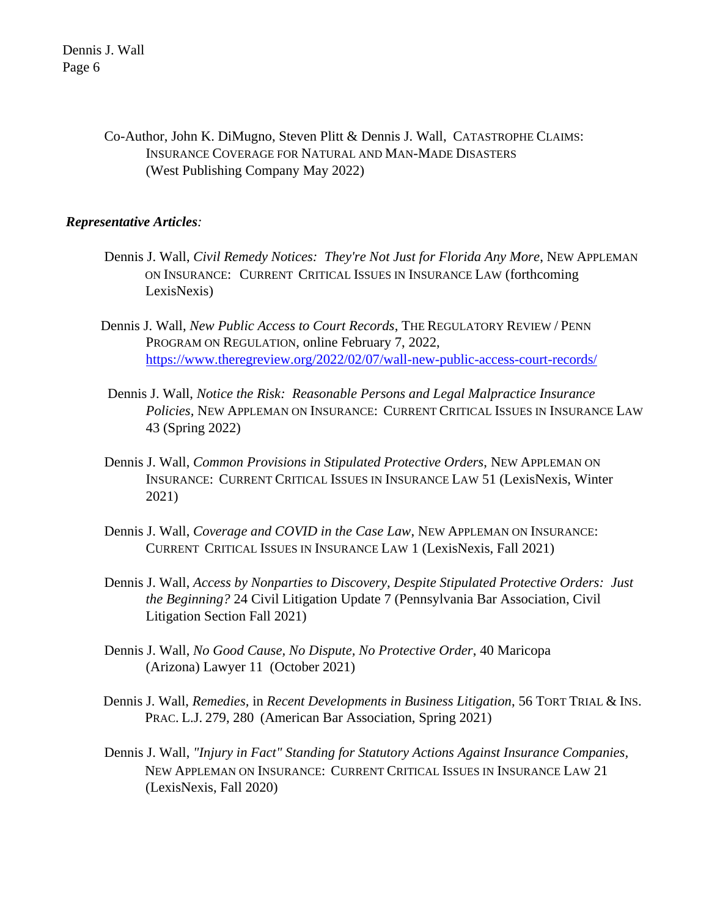> Co-Author, John K. DiMugno, Steven Plitt & Dennis J. Wall, CATASTROPHE CLAIMS: INSURANCE COVERAGE FOR NATURAL AND MAN-MADE DISASTERS (West Publishing Company May 2022)

# *Representative Articles:*

- Dennis J. Wall, *Civil Remedy Notices: They're Not Just for Florida Any More*, NEW APPLEMAN ON INSURANCE: CURRENT CRITICAL ISSUES IN INSURANCE LAW (forthcoming LexisNexis)
- Dennis J. Wall, *New Public Access to Court Records*, THE REGULATORY REVIEW / PENN PROGRAM ON REGULATION, online February 7, 2022, <https://www.theregreview.org/2022/02/07/wall-new-public-access-court-records/>
- Dennis J. Wall, *Notice the Risk: Reasonable Persons and Legal Malpractice Insurance Policies,* NEW APPLEMAN ON INSURANCE: CURRENT CRITICAL ISSUES IN INSURANCE LAW 43 (Spring 2022)
- Dennis J. Wall, *Common Provisions in Stipulated Protective Orders*, NEW APPLEMAN ON INSURANCE: CURRENT CRITICAL ISSUES IN INSURANCE LAW 51 (LexisNexis, Winter 2021)
- Dennis J. Wall, *Coverage and COVID in the Case Law*, NEW APPLEMAN ON INSURANCE: CURRENT CRITICAL ISSUES IN INSURANCE LAW 1 (LexisNexis, Fall 2021)
- Dennis J. Wall, *Access by Nonparties to Discovery, Despite Stipulated Protective Orders: Just the Beginning?* 24 Civil Litigation Update 7 (Pennsylvania Bar Association, Civil Litigation Section Fall 2021)
- Dennis J. Wall, *No Good Cause, No Dispute, No Protective Order*, 40 Maricopa (Arizona) Lawyer 11 (October 2021)
- Dennis J. Wall, *Remedies,* in *Recent Developments in Business Litigation*, 56 TORT TRIAL & INS. PRAC. L.J. 279, 280 (American Bar Association, Spring 2021)
- Dennis J. Wall, *"Injury in Fact" Standing for Statutory Actions Against Insurance Companies,*  NEW APPLEMAN ON INSURANCE: CURRENT CRITICAL ISSUES IN INSURANCE LAW 21 (LexisNexis, Fall 2020)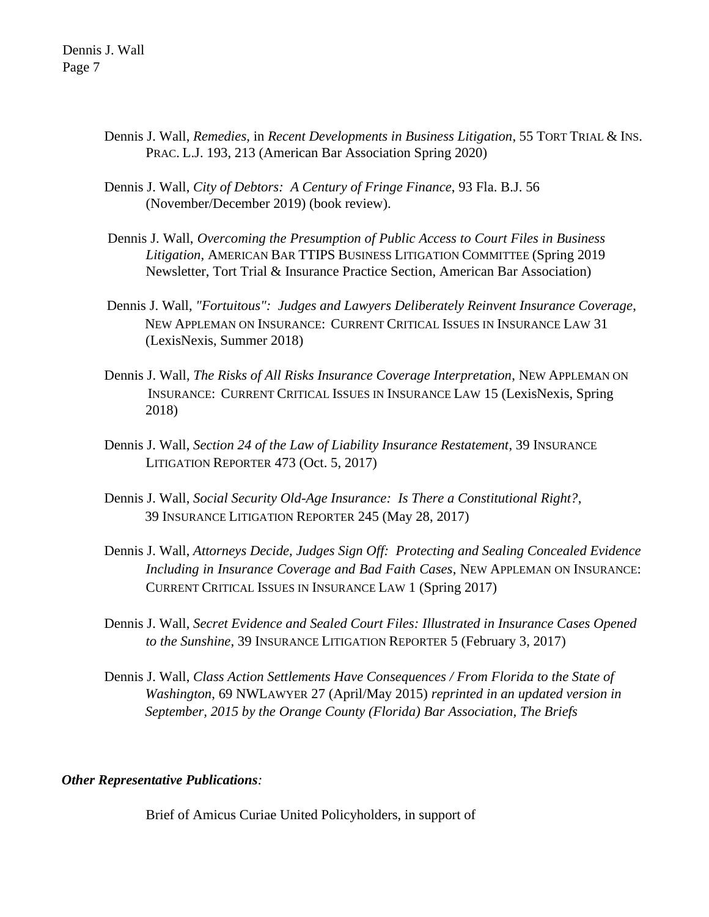- Dennis J. Wall, *Remedies,* in *Recent Developments in Business Litigation*, 55 TORT TRIAL & INS. PRAC. L.J. 193, 213 (American Bar Association Spring 2020)
- Dennis J. Wall, *City of Debtors: A Century of Fringe Finance*, 93 Fla. B.J. 56 (November/December 2019) (book review).
- Dennis J. Wall, *Overcoming the Presumption of Public Access to Court Files in Business Litigation,* AMERICAN BAR TTIPS BUSINESS LITIGATION COMMITTEE (Spring 2019 Newsletter, Tort Trial & Insurance Practice Section, American Bar Association)
- Dennis J. Wall, *"Fortuitous": Judges and Lawyers Deliberately Reinvent Insurance Coverage*, NEW APPLEMAN ON INSURANCE: CURRENT CRITICAL ISSUES IN INSURANCE LAW 31 (LexisNexis, Summer 2018)
- Dennis J. Wall, *The Risks of All Risks Insurance Coverage Interpretation*, NEW APPLEMAN ON INSURANCE: CURRENT CRITICAL ISSUES IN INSURANCE LAW 15 (LexisNexis, Spring 2018)
- Dennis J. Wall, *Section 24 of the Law of Liability Insurance Restatement*, 39 INSURANCE LITIGATION REPORTER 473 (Oct. 5, 2017)
- Dennis J. Wall, *Social Security Old-Age Insurance: Is There a Constitutional Right?*, 39 INSURANCE LITIGATION REPORTER 245 (May 28, 2017)
- Dennis J. Wall, *Attorneys Decide, Judges Sign Off: Protecting and Sealing Concealed Evidence Including in Insurance Coverage and Bad Faith Cases*, NEW APPLEMAN ON INSURANCE: CURRENT CRITICAL ISSUES IN INSURANCE LAW 1 (Spring 2017)
- Dennis J. Wall, *Secret Evidence and Sealed Court Files: Illustrated in Insurance Cases Opened to the Sunshine*, 39 INSURANCE LITIGATION REPORTER 5 (February 3, 2017)
- Dennis J. Wall, *Class Action Settlements Have Consequences / From Florida to the State of Washington*, 69 NWLAWYER 27 (April/May 2015) *reprinted in an updated version in September, 2015 by the Orange County (Florida) Bar Association, The Briefs*

# *Other Representative Publications:*

Brief of Amicus Curiae United Policyholders, in support of